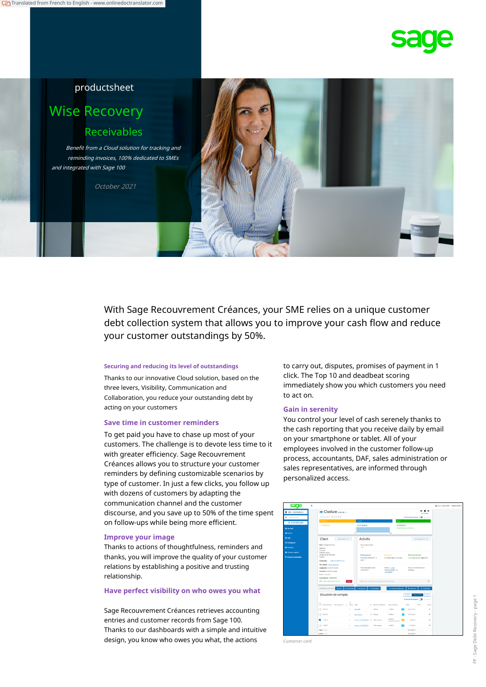

## productsheet

# Wise Recovery Receivables

Benefit from a Cloud solution for tracking and reminding invoices, 100% dedicated to SMEs and integrated with Sage 100

October 2021

With Sage Recouvrement Créances, your SME relies on a unique customer debt collection system that allows you to improve your cash flow and reduce your customer outstandings by 50%.

Thanks to our innovative Cloud solution, based on the three levers, Visibility, Communication and Collaboration, you reduce your outstanding debt by acting on your customers **Gain in serenity**

#### **Save time in customer reminders**

To get paid you have to chase up most of your customers. The challenge is to devote less time to it with greater efficiency. Sage Recouvrement Créances allows you to structure your customer reminders by defining customizable scenarios by type of customer. In just a few clicks, you follow up with dozens of customers by adapting the communication channel and the customer discourse, and you save up to 50% of the time spent on follow-ups while being more efficient.

#### **Improve your image**

Thanks to actions of thoughtfulness, reminders and thanks, you will improve the quality of your customer relations by establishing a positive and trusting relationship.

#### **Have perfect visibility on who owes you what**

Sage Recouvrement Créances retrieves accounting entries and customer records from Sage 100. Thanks to our dashboards with a simple and intuitive design, you know who owes you what, the actions **Customer** card

**Securing and reducing its level of outstandings** to carry out, disputes, promises of payment in 1 click. The Top 10 and deadbeat scoring immediately show you which customers you need to act on.

You control your level of cash serenely thanks to the cash reporting that you receive daily by email on your smartphone or tablet. All of your employees involved in the customer follow-up process, accountants, DAF, sales administration or sales representatives, are informed through personalized access.

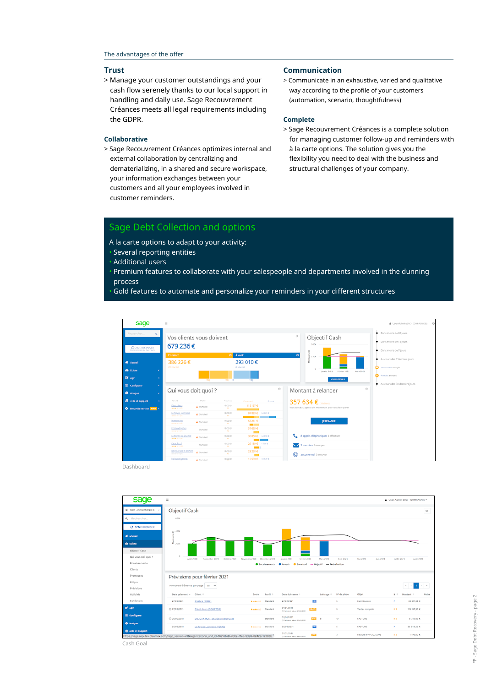> Manage your customer outstandings and your cash flow serenely thanks to our local support in handling and daily use. Sage Recouvrement Créances meets all legal requirements including the GDPR.

#### **Collaborative**

> Sage Recouvrement Créances optimizes internal and external collaboration by centralizing and dematerializing, in a shared and secure workspace, your information exchanges between your customers and all your employees involved in customer reminders.

#### **Trust Communication**

> Communicate in an exhaustive, varied and qualitative way according to the profile of your customers (automation, scenario, thoughtfulness)

#### **Complete**

> Sage Recouvrement Créances is a complete solution for managing customer follow-up and reminders with à la carte options. The solution gives you the flexibility you need to deal with the business and structural challenges of your company.

### Sage Debt Collection and options

- A la carte options to adapt to your activity:
- Several reporting entities
- Additional users
- Premium features to collaborate with your salespeople and departments involved in the dunning **process**
- Gold features to automate and personalize your reminders in your different structures



Dashboard



Cash Goal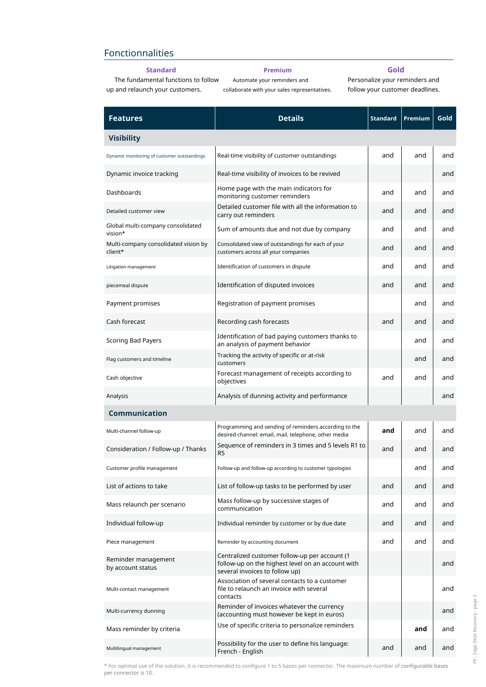## Fonctionnalities

### **Standard**

**Premium**

#### **Gold**

The fundamental functions to follow up and relaunch your customers.

Automate your reminders and collaborate with your sales representatives. Personalize your reminders and follow your customer deadlines.

| <b>Features</b>                                 | <b>Details</b>                                                                                                                       | <b>Standard</b> | Premium | Gold |  |  |  |
|-------------------------------------------------|--------------------------------------------------------------------------------------------------------------------------------------|-----------------|---------|------|--|--|--|
| <b>Visibility</b>                               |                                                                                                                                      |                 |         |      |  |  |  |
| Dynamic monitoring of customer outstandings     | Real-time visibility of customer outstandings                                                                                        | and             | and     | and  |  |  |  |
| Dynamic invoice tracking                        | Real-time visibility of invoices to be revived                                                                                       |                 |         | and  |  |  |  |
| Dashboards                                      | Home page with the main indicators for<br>monitoring customer reminders                                                              | and             | and     | and  |  |  |  |
| Detailed customer view                          | Detailed customer file with all the information to<br>carry out reminders                                                            | and             | and     | and  |  |  |  |
| Global multi-company consolidated<br>vision*    | Sum of amounts due and not due by company                                                                                            | and             | and     | and  |  |  |  |
| Multi-company consolidated vision by<br>client* | Consolidated view of outstandings for each of your<br>customers across all your companies                                            | and             | and     | and  |  |  |  |
| Litigation management                           | Identification of customers in dispute                                                                                               | and             | and     | and  |  |  |  |
| piecemeal dispute                               | Identification of disputed invoices                                                                                                  | and             | and     | and  |  |  |  |
| Payment promises                                | Registration of payment promises                                                                                                     |                 | and     | and  |  |  |  |
| Cash forecast                                   | Recording cash forecasts                                                                                                             | and             | and     | and  |  |  |  |
| <b>Scoring Bad Payers</b>                       | Identification of bad paying customers thanks to<br>an analysis of payment behavior                                                  |                 | and     | and  |  |  |  |
| Flag customers and timeline                     | Tracking the activity of specific or at-risk<br>customers                                                                            |                 | and     | and  |  |  |  |
| Cash objective                                  | Forecast management of receipts according to<br>objectives                                                                           | and             | and     | and  |  |  |  |
| Analysis                                        | Analysis of dunning activity and performance                                                                                         |                 |         | and  |  |  |  |
| <b>Communication</b>                            |                                                                                                                                      |                 |         |      |  |  |  |
| Multi-channel follow-up                         | Programming and sending of reminders according to the<br>desired channel: email, mail, telephone, other media                        | and             | and     | and  |  |  |  |
| Consideration / Follow-up / Thanks              | Sequence of reminders in 3 times and 5 levels R1 to<br>R <sub>5</sub>                                                                | and             | and     | and  |  |  |  |
| Customer profile management                     | Follow-up and follow-up according to customer typologies                                                                             |                 | and     | and  |  |  |  |
| List of actions to take                         | List of follow-up tasks to be performed by user                                                                                      | and             | and     | and  |  |  |  |
| Mass relaunch per scenario                      | Mass follow-up by successive stages of<br>communication                                                                              | and             | and     | and  |  |  |  |
| Individual follow-up                            | Individual reminder by customer or by due date                                                                                       | and             | and     | and  |  |  |  |
| Piece management                                | Reminder by accounting document                                                                                                      | and             | and     | and  |  |  |  |
| Reminder management<br>by account status        | Centralized customer follow-up per account (1<br>follow-up on the highest level on an account with<br>several invoices to follow up) |                 |         | and  |  |  |  |
| Multi-contact management                        | Association of several contacts to a customer<br>file to relaunch an invoice with several<br>contacts                                |                 |         | and  |  |  |  |
| Multi-currency dunning                          | Reminder of invoices whatever the currency<br>(accounting must however be kept in euros)                                             |                 |         | and  |  |  |  |
| Mass reminder by criteria                       | Use of specific criteria to personalize reminders                                                                                    |                 | and     | and  |  |  |  |
| Multilingual management                         | Possibility for the user to define his language:<br>French - English                                                                 | and             | and     | and  |  |  |  |

\* For optimal use of the solution, it is recommended to configure 1 to 5 bases per connector. The maximum number of configurable bases per connector is 10.